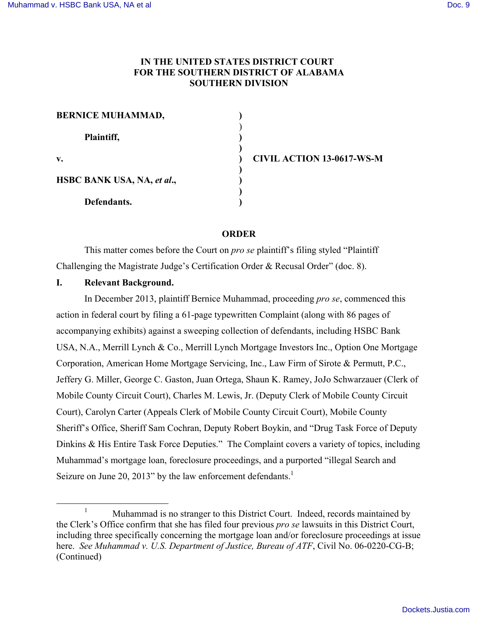# **IN THE UNITED STATES DISTRICT COURT FOR THE SOUTHERN DISTRICT OF ALABAMA SOUTHERN DIVISION**

| <b>BERNICE MUHAMMAD,</b>   |  |
|----------------------------|--|
| Plaintiff,                 |  |
| v.                         |  |
| HSBC BANK USA, NA, et al., |  |
| Defendants.                |  |

**v. ) CIVIL ACTION 13-0617-WS-M**

## **ORDER**

This matter comes before the Court on *pro se* plaintiff's filing styled "Plaintiff Challenging the Magistrate Judge's Certification Order & Recusal Order" (doc. 8).

## **I. Relevant Background.**

In December 2013, plaintiff Bernice Muhammad, proceeding *pro se*, commenced this action in federal court by filing a 61-page typewritten Complaint (along with 86 pages of accompanying exhibits) against a sweeping collection of defendants, including HSBC Bank USA, N.A., Merrill Lynch & Co., Merrill Lynch Mortgage Investors Inc., Option One Mortgage Corporation, American Home Mortgage Servicing, Inc., Law Firm of Sirote & Permutt, P.C., Jeffery G. Miller, George C. Gaston, Juan Ortega, Shaun K. Ramey, JoJo Schwarzauer (Clerk of Mobile County Circuit Court), Charles M. Lewis, Jr. (Deputy Clerk of Mobile County Circuit Court), Carolyn Carter (Appeals Clerk of Mobile County Circuit Court), Mobile County Sheriff's Office, Sheriff Sam Cochran, Deputy Robert Boykin, and "Drug Task Force of Deputy Dinkins & His Entire Task Force Deputies." The Complaint covers a variety of topics, including Muhammad's mortgage loan, foreclosure proceedings, and a purported "illegal Search and Seizure on June 20, 2013" by the law enforcement defendants. $<sup>1</sup>$ </sup>

<sup>&</sup>lt;sup>1</sup> Muhammad is no stranger to this District Court. Indeed, records maintained by the Clerk's Office confirm that she has filed four previous *pro se* lawsuits in this District Court, including three specifically concerning the mortgage loan and/or foreclosure proceedings at issue here. *See Muhammad v. U.S. Department of Justice, Bureau of ATF*, Civil No. 06-0220-CG-B; (Continued)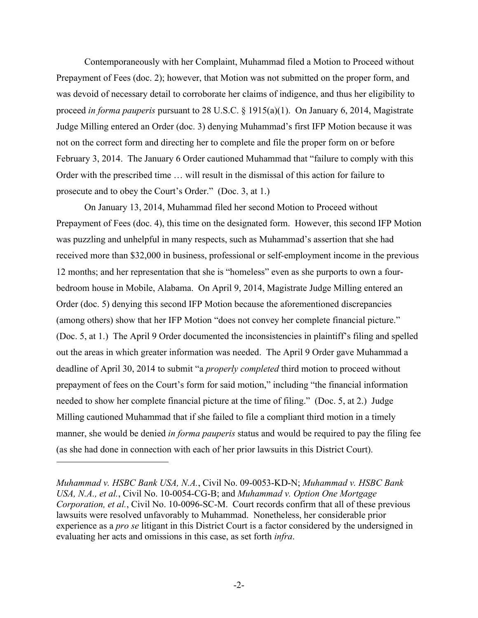Contemporaneously with her Complaint, Muhammad filed a Motion to Proceed without Prepayment of Fees (doc. 2); however, that Motion was not submitted on the proper form, and was devoid of necessary detail to corroborate her claims of indigence, and thus her eligibility to proceed *in forma pauperis* pursuant to 28 U.S.C. § 1915(a)(1). On January 6, 2014, Magistrate Judge Milling entered an Order (doc. 3) denying Muhammad's first IFP Motion because it was not on the correct form and directing her to complete and file the proper form on or before February 3, 2014. The January 6 Order cautioned Muhammad that "failure to comply with this Order with the prescribed time … will result in the dismissal of this action for failure to prosecute and to obey the Court's Order." (Doc. 3, at 1.)

On January 13, 2014, Muhammad filed her second Motion to Proceed without Prepayment of Fees (doc. 4), this time on the designated form. However, this second IFP Motion was puzzling and unhelpful in many respects, such as Muhammad's assertion that she had received more than \$32,000 in business, professional or self-employment income in the previous 12 months; and her representation that she is "homeless" even as she purports to own a fourbedroom house in Mobile, Alabama. On April 9, 2014, Magistrate Judge Milling entered an Order (doc. 5) denying this second IFP Motion because the aforementioned discrepancies (among others) show that her IFP Motion "does not convey her complete financial picture." (Doc. 5, at 1.) The April 9 Order documented the inconsistencies in plaintiff's filing and spelled out the areas in which greater information was needed. The April 9 Order gave Muhammad a deadline of April 30, 2014 to submit "a *properly completed* third motion to proceed without prepayment of fees on the Court's form for said motion," including "the financial information needed to show her complete financial picture at the time of filing." (Doc. 5, at 2.) Judge Milling cautioned Muhammad that if she failed to file a compliant third motion in a timely manner, she would be denied *in forma pauperis* status and would be required to pay the filing fee (as she had done in connection with each of her prior lawsuits in this District Court).

 $\overline{a}$ 

*Muhammad v. HSBC Bank USA, N.A.*, Civil No. 09-0053-KD-N; *Muhammad v. HSBC Bank USA, N.A., et al.*, Civil No. 10-0054-CG-B; and *Muhammad v. Option One Mortgage Corporation, et al.*, Civil No. 10-0096-SC-M. Court records confirm that all of these previous lawsuits were resolved unfavorably to Muhammad. Nonetheless, her considerable prior experience as a *pro se* litigant in this District Court is a factor considered by the undersigned in evaluating her acts and omissions in this case, as set forth *infra*.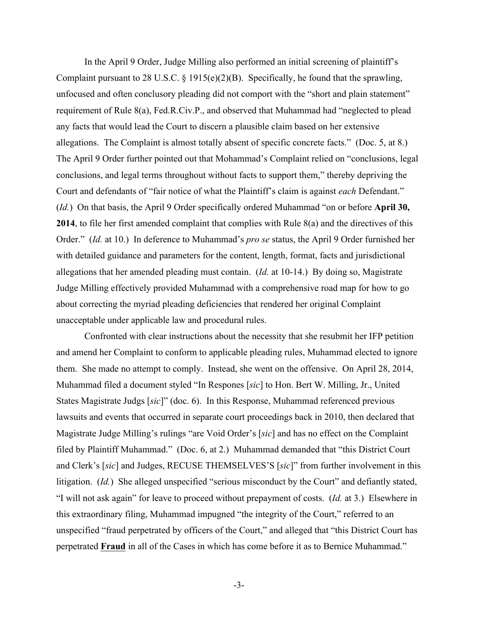In the April 9 Order, Judge Milling also performed an initial screening of plaintiff's Complaint pursuant to 28 U.S.C.  $\frac{1}{2}$  1915(e)(2)(B). Specifically, he found that the sprawling, unfocused and often conclusory pleading did not comport with the "short and plain statement" requirement of Rule 8(a), Fed.R.Civ.P., and observed that Muhammad had "neglected to plead any facts that would lead the Court to discern a plausible claim based on her extensive allegations. The Complaint is almost totally absent of specific concrete facts." (Doc. 5, at 8.) The April 9 Order further pointed out that Mohammad's Complaint relied on "conclusions, legal conclusions, and legal terms throughout without facts to support them," thereby depriving the Court and defendants of "fair notice of what the Plaintiff's claim is against *each* Defendant." (*Id.*) On that basis, the April 9 Order specifically ordered Muhammad "on or before **April 30, 2014**, to file her first amended complaint that complies with Rule 8(a) and the directives of this Order." (*Id.* at 10.) In deference to Muhammad's *pro se* status, the April 9 Order furnished her with detailed guidance and parameters for the content, length, format, facts and jurisdictional allegations that her amended pleading must contain. (*Id.* at 10-14.) By doing so, Magistrate Judge Milling effectively provided Muhammad with a comprehensive road map for how to go about correcting the myriad pleading deficiencies that rendered her original Complaint unacceptable under applicable law and procedural rules.

Confronted with clear instructions about the necessity that she resubmit her IFP petition and amend her Complaint to conform to applicable pleading rules, Muhammad elected to ignore them. She made no attempt to comply. Instead, she went on the offensive. On April 28, 2014, Muhammad filed a document styled "In Respones [*sic*] to Hon. Bert W. Milling, Jr., United States Magistrate Judgs [*sic*]" (doc. 6). In this Response, Muhammad referenced previous lawsuits and events that occurred in separate court proceedings back in 2010, then declared that Magistrate Judge Milling's rulings "are Void Order's [*sic*] and has no effect on the Complaint filed by Plaintiff Muhammad." (Doc. 6, at 2.) Muhammad demanded that "this District Court and Clerk's [*sic*] and Judges, RECUSE THEMSELVES'S [*sic*]" from further involvement in this litigation. (*Id.*) She alleged unspecified "serious misconduct by the Court" and defiantly stated, "I will not ask again" for leave to proceed without prepayment of costs. (*Id.* at 3.) Elsewhere in this extraordinary filing, Muhammad impugned "the integrity of the Court," referred to an unspecified "fraud perpetrated by officers of the Court," and alleged that "this District Court has perpetrated **Fraud** in all of the Cases in which has come before it as to Bernice Muhammad."

-3-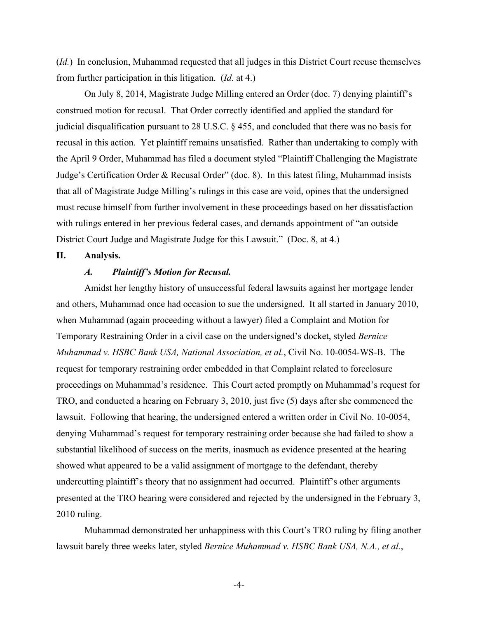(*Id.*) In conclusion, Muhammad requested that all judges in this District Court recuse themselves from further participation in this litigation. (*Id.* at 4.)

On July 8, 2014, Magistrate Judge Milling entered an Order (doc. 7) denying plaintiff's construed motion for recusal. That Order correctly identified and applied the standard for judicial disqualification pursuant to 28 U.S.C. § 455, and concluded that there was no basis for recusal in this action. Yet plaintiff remains unsatisfied. Rather than undertaking to comply with the April 9 Order, Muhammad has filed a document styled "Plaintiff Challenging the Magistrate Judge's Certification Order & Recusal Order" (doc. 8). In this latest filing, Muhammad insists that all of Magistrate Judge Milling's rulings in this case are void, opines that the undersigned must recuse himself from further involvement in these proceedings based on her dissatisfaction with rulings entered in her previous federal cases, and demands appointment of "an outside District Court Judge and Magistrate Judge for this Lawsuit." (Doc. 8, at 4.)

#### **II. Analysis.**

#### *A. Plaintiff's Motion for Recusal.*

Amidst her lengthy history of unsuccessful federal lawsuits against her mortgage lender and others, Muhammad once had occasion to sue the undersigned. It all started in January 2010, when Muhammad (again proceeding without a lawyer) filed a Complaint and Motion for Temporary Restraining Order in a civil case on the undersigned's docket, styled *Bernice Muhammad v. HSBC Bank USA, National Association, et al.*, Civil No. 10-0054-WS-B. The request for temporary restraining order embedded in that Complaint related to foreclosure proceedings on Muhammad's residence. This Court acted promptly on Muhammad's request for TRO, and conducted a hearing on February 3, 2010, just five (5) days after she commenced the lawsuit. Following that hearing, the undersigned entered a written order in Civil No. 10-0054, denying Muhammad's request for temporary restraining order because she had failed to show a substantial likelihood of success on the merits, inasmuch as evidence presented at the hearing showed what appeared to be a valid assignment of mortgage to the defendant, thereby undercutting plaintiff's theory that no assignment had occurred. Plaintiff's other arguments presented at the TRO hearing were considered and rejected by the undersigned in the February 3, 2010 ruling.

Muhammad demonstrated her unhappiness with this Court's TRO ruling by filing another lawsuit barely three weeks later, styled *Bernice Muhammad v. HSBC Bank USA, N.A., et al.*,

-4-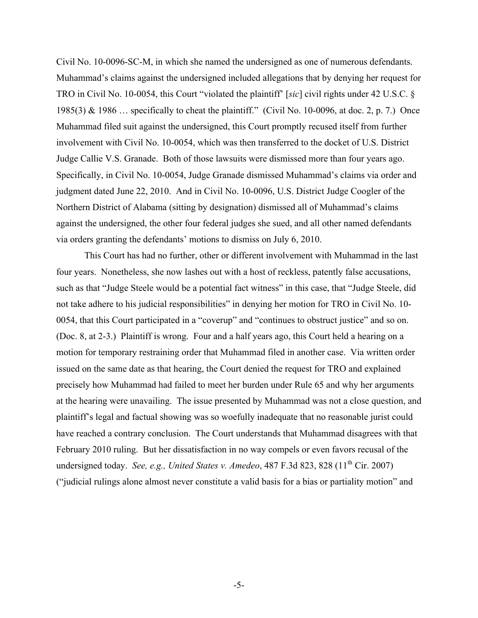Civil No. 10-0096-SC-M, in which she named the undersigned as one of numerous defendants. Muhammad's claims against the undersigned included allegations that by denying her request for TRO in Civil No. 10-0054, this Court "violated the plaintiff' [*sic*] civil rights under 42 U.S.C. § 1985(3) & 1986 … specifically to cheat the plaintiff." (Civil No. 10-0096, at doc. 2, p. 7.) Once Muhammad filed suit against the undersigned, this Court promptly recused itself from further involvement with Civil No. 10-0054, which was then transferred to the docket of U.S. District Judge Callie V.S. Granade. Both of those lawsuits were dismissed more than four years ago. Specifically, in Civil No. 10-0054, Judge Granade dismissed Muhammad's claims via order and judgment dated June 22, 2010. And in Civil No. 10-0096, U.S. District Judge Coogler of the Northern District of Alabama (sitting by designation) dismissed all of Muhammad's claims against the undersigned, the other four federal judges she sued, and all other named defendants via orders granting the defendants' motions to dismiss on July 6, 2010.

This Court has had no further, other or different involvement with Muhammad in the last four years. Nonetheless, she now lashes out with a host of reckless, patently false accusations, such as that "Judge Steele would be a potential fact witness" in this case, that "Judge Steele, did not take adhere to his judicial responsibilities" in denying her motion for TRO in Civil No. 10- 0054, that this Court participated in a "coverup" and "continues to obstruct justice" and so on. (Doc. 8, at 2-3.) Plaintiff is wrong. Four and a half years ago, this Court held a hearing on a motion for temporary restraining order that Muhammad filed in another case. Via written order issued on the same date as that hearing, the Court denied the request for TRO and explained precisely how Muhammad had failed to meet her burden under Rule 65 and why her arguments at the hearing were unavailing. The issue presented by Muhammad was not a close question, and plaintiff's legal and factual showing was so woefully inadequate that no reasonable jurist could have reached a contrary conclusion. The Court understands that Muhammad disagrees with that February 2010 ruling. But her dissatisfaction in no way compels or even favors recusal of the undersigned today. *See, e.g., United States v. Amedeo*, 487 F.3d 823, 828 (11<sup>th</sup> Cir. 2007) ("judicial rulings alone almost never constitute a valid basis for a bias or partiality motion" and

-5-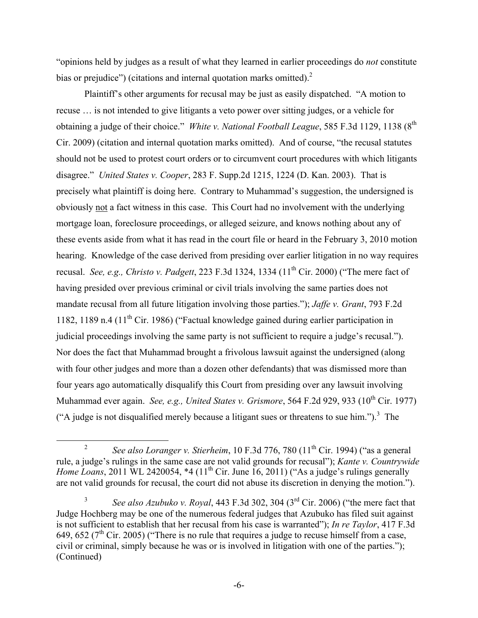"opinions held by judges as a result of what they learned in earlier proceedings do *not* constitute bias or prejudice") (citations and internal quotation marks omitted). $2^2$ 

Plaintiff's other arguments for recusal may be just as easily dispatched. "A motion to recuse … is not intended to give litigants a veto power over sitting judges, or a vehicle for obtaining a judge of their choice." *White v. National Football League*, 585 F.3d 1129, 1138 (8<sup>th</sup>) Cir. 2009) (citation and internal quotation marks omitted). And of course, "the recusal statutes should not be used to protest court orders or to circumvent court procedures with which litigants disagree." *United States v. Cooper*, 283 F. Supp.2d 1215, 1224 (D. Kan. 2003). That is precisely what plaintiff is doing here. Contrary to Muhammad's suggestion, the undersigned is obviously not a fact witness in this case. This Court had no involvement with the underlying mortgage loan, foreclosure proceedings, or alleged seizure, and knows nothing about any of these events aside from what it has read in the court file or heard in the February 3, 2010 motion hearing. Knowledge of the case derived from presiding over earlier litigation in no way requires recusal. *See, e.g., Christo v. Padgett*, 223 F.3d 1324, 1334 (11<sup>th</sup> Cir. 2000) ("The mere fact of having presided over previous criminal or civil trials involving the same parties does not mandate recusal from all future litigation involving those parties."); *Jaffe v. Grant*, 793 F.2d 1182, 1189 n.4 (11th Cir. 1986) ("Factual knowledge gained during earlier participation in judicial proceedings involving the same party is not sufficient to require a judge's recusal."). Nor does the fact that Muhammad brought a frivolous lawsuit against the undersigned (along with four other judges and more than a dozen other defendants) that was dismissed more than four years ago automatically disqualify this Court from presiding over any lawsuit involving Muhammad ever again. *See, e.g., United States v. Grismore*, 564 F.2d 929, 933 (10<sup>th</sup> Cir. 1977) ("A judge is not disqualified merely because a litigant sues or threatens to sue him.").<sup>3</sup> The

<sup>&</sup>lt;sup>2</sup> *See also Loranger v. Stierheim*, 10 F.3d 776, 780  $(11<sup>th</sup> Cir. 1994)$  ("as a general rule, a judge's rulings in the same case are not valid grounds for recusal"); *Kante v. Countrywide Home Loans*, 2011 WL 2420054, \*4 (11<sup>th</sup> Cir. June 16, 2011) ("As a judge's rulings generally are not valid grounds for recusal, the court did not abuse its discretion in denying the motion.").

<sup>3</sup> *See also Azubuko v. Royal*, 443 F.3d 302, 304 (3rd Cir. 2006) ("the mere fact that Judge Hochberg may be one of the numerous federal judges that Azubuko has filed suit against is not sufficient to establish that her recusal from his case is warranted"); *In re Taylor*, 417 F.3d 649, 652 ( $7<sup>th</sup>$  Cir. 2005) ("There is no rule that requires a judge to recuse himself from a case, civil or criminal, simply because he was or is involved in litigation with one of the parties."); (Continued)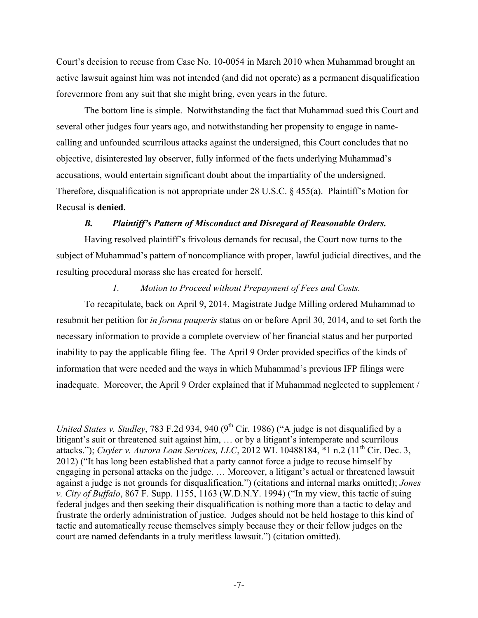Court's decision to recuse from Case No. 10-0054 in March 2010 when Muhammad brought an active lawsuit against him was not intended (and did not operate) as a permanent disqualification forevermore from any suit that she might bring, even years in the future.

The bottom line is simple. Notwithstanding the fact that Muhammad sued this Court and several other judges four years ago, and notwithstanding her propensity to engage in namecalling and unfounded scurrilous attacks against the undersigned, this Court concludes that no objective, disinterested lay observer, fully informed of the facts underlying Muhammad's accusations, would entertain significant doubt about the impartiality of the undersigned. Therefore, disqualification is not appropriate under 28 U.S.C. § 455(a). Plaintiff's Motion for Recusal is **denied**.

### *B. Plaintiff's Pattern of Misconduct and Disregard of Reasonable Orders.*

Having resolved plaintiff's frivolous demands for recusal, the Court now turns to the subject of Muhammad's pattern of noncompliance with proper, lawful judicial directives, and the resulting procedural morass she has created for herself.

#### *1. Motion to Proceed without Prepayment of Fees and Costs.*

To recapitulate, back on April 9, 2014, Magistrate Judge Milling ordered Muhammad to resubmit her petition for *in forma pauperis* status on or before April 30, 2014, and to set forth the necessary information to provide a complete overview of her financial status and her purported inability to pay the applicable filing fee. The April 9 Order provided specifics of the kinds of information that were needed and the ways in which Muhammad's previous IFP filings were inadequate. Moreover, the April 9 Order explained that if Muhammad neglected to supplement /

 $\overline{a}$ 

*United States v. Studley*, 783 F.2d 934, 940 (9<sup>th</sup> Cir. 1986) ("A judge is not disqualified by a litigant's suit or threatened suit against him, ... or by a litigant's intemperate and scurrilous attacks."); *Cuyler v. Aurora Loan Services, LLC*, 2012 WL 10488184, \*1 n.2 (11<sup>th</sup> Cir. Dec. 3, 2012) ("It has long been established that a party cannot force a judge to recuse himself by engaging in personal attacks on the judge. … Moreover, a litigant's actual or threatened lawsuit against a judge is not grounds for disqualification.") (citations and internal marks omitted); *Jones v. City of Buffalo*, 867 F. Supp. 1155, 1163 (W.D.N.Y. 1994) ("In my view, this tactic of suing federal judges and then seeking their disqualification is nothing more than a tactic to delay and frustrate the orderly administration of justice. Judges should not be held hostage to this kind of tactic and automatically recuse themselves simply because they or their fellow judges on the court are named defendants in a truly meritless lawsuit.") (citation omitted).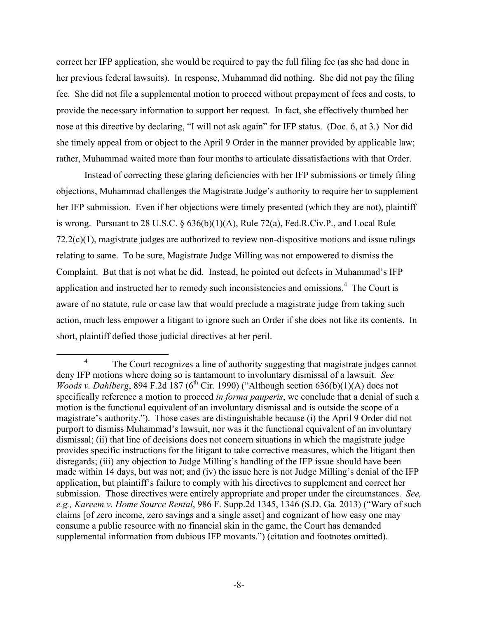correct her IFP application, she would be required to pay the full filing fee (as she had done in her previous federal lawsuits). In response, Muhammad did nothing. She did not pay the filing fee. She did not file a supplemental motion to proceed without prepayment of fees and costs, to provide the necessary information to support her request. In fact, she effectively thumbed her nose at this directive by declaring, "I will not ask again" for IFP status. (Doc. 6, at 3.) Nor did she timely appeal from or object to the April 9 Order in the manner provided by applicable law; rather, Muhammad waited more than four months to articulate dissatisfactions with that Order.

Instead of correcting these glaring deficiencies with her IFP submissions or timely filing objections, Muhammad challenges the Magistrate Judge's authority to require her to supplement her IFP submission. Even if her objections were timely presented (which they are not), plaintiff is wrong. Pursuant to 28 U.S.C. § 636(b)(1)(A), Rule 72(a), Fed.R.Civ.P., and Local Rule 72.2(c)(1), magistrate judges are authorized to review non-dispositive motions and issue rulings relating to same. To be sure, Magistrate Judge Milling was not empowered to dismiss the Complaint. But that is not what he did. Instead, he pointed out defects in Muhammad's IFP application and instructed her to remedy such inconsistencies and omissions.<sup>4</sup> The Court is aware of no statute, rule or case law that would preclude a magistrate judge from taking such action, much less empower a litigant to ignore such an Order if she does not like its contents. In short, plaintiff defied those judicial directives at her peril.

<sup>&</sup>lt;sup>4</sup> The Court recognizes a line of authority suggesting that magistrate judges cannot deny IFP motions where doing so is tantamount to involuntary dismissal of a lawsuit. *See Woods v. Dahlberg*, 894 F.2d 187 (6<sup>th</sup> Cir. 1990) ("Although section 636(b)(1)(A) does not specifically reference a motion to proceed *in forma pauperis*, we conclude that a denial of such a motion is the functional equivalent of an involuntary dismissal and is outside the scope of a magistrate's authority."). Those cases are distinguishable because (i) the April 9 Order did not purport to dismiss Muhammad's lawsuit, nor was it the functional equivalent of an involuntary dismissal; (ii) that line of decisions does not concern situations in which the magistrate judge provides specific instructions for the litigant to take corrective measures, which the litigant then disregards; (iii) any objection to Judge Milling's handling of the IFP issue should have been made within 14 days, but was not; and (iv) the issue here is not Judge Milling's denial of the IFP application, but plaintiff's failure to comply with his directives to supplement and correct her submission. Those directives were entirely appropriate and proper under the circumstances. *See, e.g., Kareem v. Home Source Rental*, 986 F. Supp.2d 1345, 1346 (S.D. Ga. 2013) ("Wary of such claims [of zero income, zero savings and a single asset] and cognizant of how easy one may consume a public resource with no financial skin in the game, the Court has demanded supplemental information from dubious IFP movants.") (citation and footnotes omitted).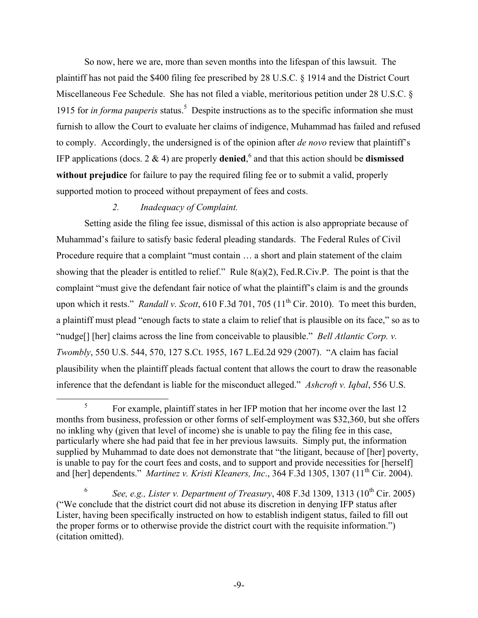So now, here we are, more than seven months into the lifespan of this lawsuit. The plaintiff has not paid the \$400 filing fee prescribed by 28 U.S.C. § 1914 and the District Court Miscellaneous Fee Schedule. She has not filed a viable, meritorious petition under 28 U.S.C. § 1915 for *in forma pauperis* status.<sup>5</sup> Despite instructions as to the specific information she must furnish to allow the Court to evaluate her claims of indigence, Muhammad has failed and refused to comply. Accordingly, the undersigned is of the opinion after *de novo* review that plaintiff's IFP applications (docs. 2 & 4) are properly **denied**, <sup>6</sup> and that this action should be **dismissed without prejudice** for failure to pay the required filing fee or to submit a valid, properly supported motion to proceed without prepayment of fees and costs.

# *2. Inadequacy of Complaint.*

Setting aside the filing fee issue, dismissal of this action is also appropriate because of Muhammad's failure to satisfy basic federal pleading standards. The Federal Rules of Civil Procedure require that a complaint "must contain … a short and plain statement of the claim showing that the pleader is entitled to relief." Rule 8(a)(2), Fed.R.Civ.P. The point is that the complaint "must give the defendant fair notice of what the plaintiff's claim is and the grounds upon which it rests." *Randall v. Scott*, 610 F.3d 701, 705 (11<sup>th</sup> Cir. 2010). To meet this burden, a plaintiff must plead "enough facts to state a claim to relief that is plausible on its face," so as to "nudge[] [her] claims across the line from conceivable to plausible." *Bell Atlantic Corp. v. Twombly*, 550 U.S. 544, 570, 127 S.Ct. 1955, 167 L.Ed.2d 929 (2007). "A claim has facial plausibility when the plaintiff pleads factual content that allows the court to draw the reasonable inference that the defendant is liable for the misconduct alleged." *Ashcroft v. Iqbal*, 556 U.S.

 <sup>5</sup> For example, plaintiff states in her IFP motion that her income over the last 12 months from business, profession or other forms of self-employment was \$32,360, but she offers no inkling why (given that level of income) she is unable to pay the filing fee in this case, particularly where she had paid that fee in her previous lawsuits. Simply put, the information supplied by Muhammad to date does not demonstrate that "the litigant, because of [her] poverty, is unable to pay for the court fees and costs, and to support and provide necessities for [herself] and [her] dependents." *Martinez v. Kristi Kleaners, Inc.*, 364 F.3d 1305, 1307 (11<sup>th</sup> Cir. 2004).

<sup>&</sup>lt;sup>6</sup> *See, e.g., Lister v. Department of Treasury*, 408 F.3d 1309, 1313 ( $10^{th}$  Cir. 2005) ("We conclude that the district court did not abuse its discretion in denying IFP status after Lister, having been specifically instructed on how to establish indigent status, failed to fill out the proper forms or to otherwise provide the district court with the requisite information.") (citation omitted).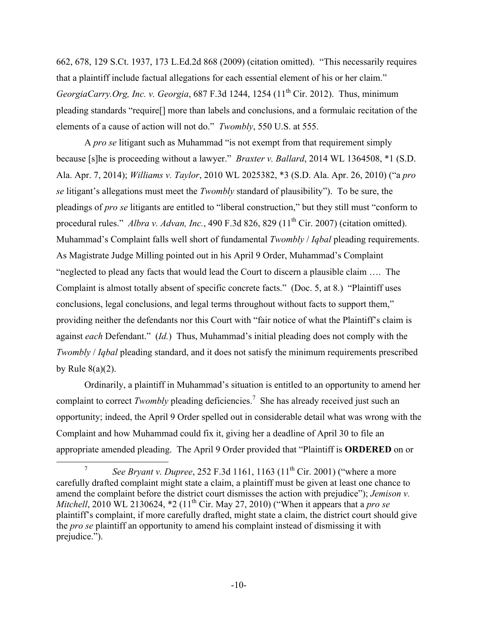662, 678, 129 S.Ct. 1937, 173 L.Ed.2d 868 (2009) (citation omitted). "This necessarily requires that a plaintiff include factual allegations for each essential element of his or her claim." *GeorgiaCarry.Org, Inc. v. Georgia,* 687 F.3d 1244, 1254 (11<sup>th</sup> Cir. 2012). Thus, minimum pleading standards "require[] more than labels and conclusions, and a formulaic recitation of the elements of a cause of action will not do." *Twombly*, 550 U.S. at 555.

A *pro se* litigant such as Muhammad "is not exempt from that requirement simply because [s]he is proceeding without a lawyer." *Braxter v. Ballard*, 2014 WL 1364508, \*1 (S.D. Ala. Apr. 7, 2014); *Williams v. Taylor*, 2010 WL 2025382, \*3 (S.D. Ala. Apr. 26, 2010) ("a *pro se* litigant's allegations must meet the *Twombly* standard of plausibility"). To be sure, the pleadings of *pro se* litigants are entitled to "liberal construction," but they still must "conform to procedural rules." *Albra v. Advan, Inc.*, 490 F.3d 826, 829 (11<sup>th</sup> Cir. 2007) (citation omitted). Muhammad's Complaint falls well short of fundamental *Twombly* / *Iqbal* pleading requirements. As Magistrate Judge Milling pointed out in his April 9 Order, Muhammad's Complaint "neglected to plead any facts that would lead the Court to discern a plausible claim …. The Complaint is almost totally absent of specific concrete facts." (Doc. 5, at 8.) "Plaintiff uses conclusions, legal conclusions, and legal terms throughout without facts to support them," providing neither the defendants nor this Court with "fair notice of what the Plaintiff's claim is against *each* Defendant." (*Id.*) Thus, Muhammad's initial pleading does not comply with the *Twombly* / *Iqbal* pleading standard, and it does not satisfy the minimum requirements prescribed by Rule  $8(a)(2)$ .

Ordinarily, a plaintiff in Muhammad's situation is entitled to an opportunity to amend her complaint to correct *Twombly* pleading deficiencies.<sup>7</sup> She has already received just such an opportunity; indeed, the April 9 Order spelled out in considerable detail what was wrong with the Complaint and how Muhammad could fix it, giving her a deadline of April 30 to file an appropriate amended pleading. The April 9 Order provided that "Plaintiff is **ORDERED** on or

*See Bryant v. Dupree*, 252 F.3d 1161, 1163 (11<sup>th</sup> Cir. 2001) ("where a more carefully drafted complaint might state a claim, a plaintiff must be given at least one chance to amend the complaint before the district court dismisses the action with prejudice"); *Jemison v. Mitchell*, 2010 WL 2130624,  $*2(11<sup>th</sup> Cir.$  May 27, 2010) ("When it appears that a *pro se* plaintiff's complaint, if more carefully drafted, might state a claim, the district court should give the *pro se* plaintiff an opportunity to amend his complaint instead of dismissing it with prejudice.").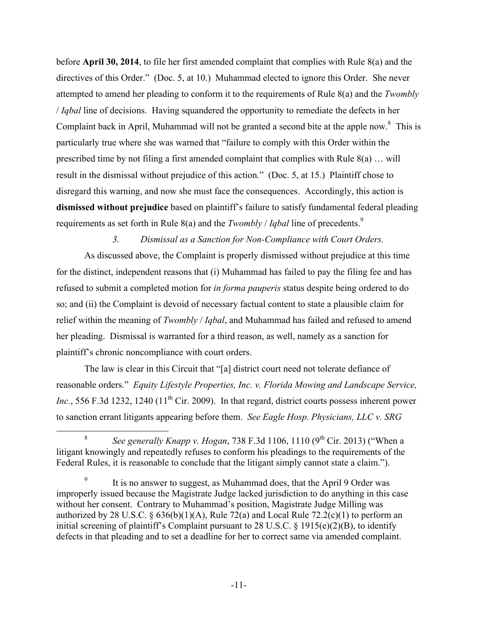before **April 30, 2014**, to file her first amended complaint that complies with Rule 8(a) and the directives of this Order." (Doc. 5, at 10.) Muhammad elected to ignore this Order. She never attempted to amend her pleading to conform it to the requirements of Rule 8(a) and the *Twombly*  / *Iqbal* line of decisions. Having squandered the opportunity to remediate the defects in her Complaint back in April, Muhammad will not be granted a second bite at the apple now.<sup>8</sup> This is particularly true where she was warned that "failure to comply with this Order within the prescribed time by not filing a first amended complaint that complies with Rule 8(a) … will result in the dismissal without prejudice of this action." (Doc. 5, at 15.) Plaintiff chose to disregard this warning, and now she must face the consequences. Accordingly, this action is **dismissed without prejudice** based on plaintiff's failure to satisfy fundamental federal pleading requirements as set forth in Rule 8(a) and the *Twombly* / *Iqbal* line of precedents.9

*3. Dismissal as a Sanction for Non-Compliance with Court Orders.*

As discussed above, the Complaint is properly dismissed without prejudice at this time for the distinct, independent reasons that (i) Muhammad has failed to pay the filing fee and has refused to submit a completed motion for *in forma pauperis* status despite being ordered to do so; and (ii) the Complaint is devoid of necessary factual content to state a plausible claim for relief within the meaning of *Twombly* / *Iqbal*, and Muhammad has failed and refused to amend her pleading. Dismissal is warranted for a third reason, as well, namely as a sanction for plaintiff's chronic noncompliance with court orders.

The law is clear in this Circuit that "[a] district court need not tolerate defiance of reasonable orders." *Equity Lifestyle Properties, Inc. v. Florida Mowing and Landscape Service, Inc.*, 556 F.3d 1232, 1240 (11<sup>th</sup> Cir. 2009). In that regard, district courts possess inherent power to sanction errant litigants appearing before them. *See Eagle Hosp. Physicians, LLC v. SRG* 

<sup>&</sup>lt;sup>8</sup> *See generally Knapp v. Hogan*, 738 F.3d 1106, 1110 (9<sup>th</sup> Cir. 2013) ("When a litigant knowingly and repeatedly refuses to conform his pleadings to the requirements of the Federal Rules, it is reasonable to conclude that the litigant simply cannot state a claim.").

<sup>&</sup>lt;sup>9</sup> It is no answer to suggest, as Muhammad does, that the April 9 Order was improperly issued because the Magistrate Judge lacked jurisdiction to do anything in this case without her consent. Contrary to Muhammad's position, Magistrate Judge Milling was authorized by 28 U.S.C. §  $636(b)(1)(A)$ , Rule 72(a) and Local Rule 72.2(c)(1) to perform an initial screening of plaintiff's Complaint pursuant to 28 U.S.C. § 1915(e)(2)(B), to identify defects in that pleading and to set a deadline for her to correct same via amended complaint.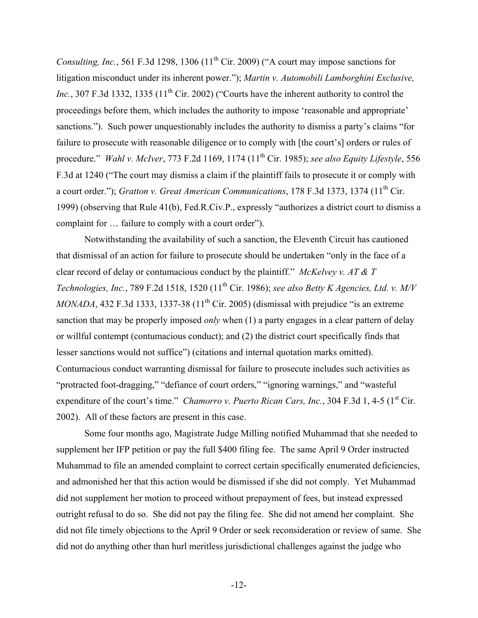*Consulting, Inc.*, 561 F.3d 1298, 1306 (11<sup>th</sup> Cir. 2009) ("A court may impose sanctions for litigation misconduct under its inherent power."); *Martin v. Automobili Lamborghini Exclusive, Inc.*, 307 F.3d 1332, 1335 ( $11<sup>th</sup>$  Cir. 2002) ("Courts have the inherent authority to control the proceedings before them, which includes the authority to impose 'reasonable and appropriate' sanctions."). Such power unquestionably includes the authority to dismiss a party's claims "for failure to prosecute with reasonable diligence or to comply with [the court's] orders or rules of procedure." *Wahl v. McIver*, 773 F.2d 1169, 1174 (11th Cir. 1985); *see also Equity Lifestyle*, 556 F.3d at 1240 ("The court may dismiss a claim if the plaintiff fails to prosecute it or comply with a court order."); *Gratton v. Great American Communications*, 178 F.3d 1373, 1374 (11<sup>th</sup> Cir. 1999) (observing that Rule 41(b), Fed.R.Civ.P., expressly "authorizes a district court to dismiss a complaint for … failure to comply with a court order").

Notwithstanding the availability of such a sanction, the Eleventh Circuit has cautioned that dismissal of an action for failure to prosecute should be undertaken "only in the face of a clear record of delay or contumacious conduct by the plaintiff." *McKelvey v. AT & T Technologies, Inc.*, 789 F.2d 1518, 1520 (11<sup>th</sup> Cir. 1986); *see also Betty K Agencies, Ltd. v. M/V MONADA*, 432 F.3d 1333, 1337-38  $(11<sup>th</sup> Cir. 2005)$  (dismissal with prejudice "is an extreme" sanction that may be properly imposed *only* when (1) a party engages in a clear pattern of delay or willful contempt (contumacious conduct); and (2) the district court specifically finds that lesser sanctions would not suffice") (citations and internal quotation marks omitted). Contumacious conduct warranting dismissal for failure to prosecute includes such activities as "protracted foot-dragging," "defiance of court orders," "ignoring warnings," and "wasteful expenditure of the court's time." *Chamorro v. Puerto Rican Cars, Inc.*, 304 F.3d 1, 4-5 (1<sup>st</sup> Cir. 2002). All of these factors are present in this case.

Some four months ago, Magistrate Judge Milling notified Muhammad that she needed to supplement her IFP petition or pay the full \$400 filing fee. The same April 9 Order instructed Muhammad to file an amended complaint to correct certain specifically enumerated deficiencies, and admonished her that this action would be dismissed if she did not comply. Yet Muhammad did not supplement her motion to proceed without prepayment of fees, but instead expressed outright refusal to do so. She did not pay the filing fee. She did not amend her complaint. She did not file timely objections to the April 9 Order or seek reconsideration or review of same. She did not do anything other than hurl meritless jurisdictional challenges against the judge who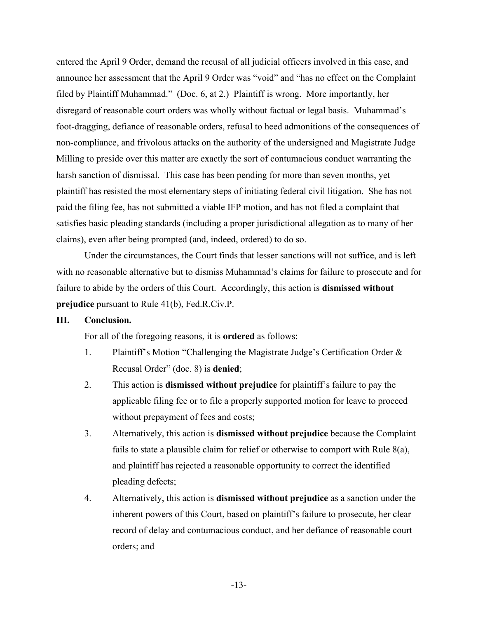entered the April 9 Order, demand the recusal of all judicial officers involved in this case, and announce her assessment that the April 9 Order was "void" and "has no effect on the Complaint filed by Plaintiff Muhammad." (Doc. 6, at 2.) Plaintiff is wrong. More importantly, her disregard of reasonable court orders was wholly without factual or legal basis. Muhammad's foot-dragging, defiance of reasonable orders, refusal to heed admonitions of the consequences of non-compliance, and frivolous attacks on the authority of the undersigned and Magistrate Judge Milling to preside over this matter are exactly the sort of contumacious conduct warranting the harsh sanction of dismissal. This case has been pending for more than seven months, yet plaintiff has resisted the most elementary steps of initiating federal civil litigation. She has not paid the filing fee, has not submitted a viable IFP motion, and has not filed a complaint that satisfies basic pleading standards (including a proper jurisdictional allegation as to many of her claims), even after being prompted (and, indeed, ordered) to do so.

Under the circumstances, the Court finds that lesser sanctions will not suffice, and is left with no reasonable alternative but to dismiss Muhammad's claims for failure to prosecute and for failure to abide by the orders of this Court. Accordingly, this action is **dismissed without prejudice** pursuant to Rule 41(b), Fed.R.Civ.P.

#### **III. Conclusion.**

For all of the foregoing reasons, it is **ordered** as follows:

- 1. Plaintiff's Motion "Challenging the Magistrate Judge's Certification Order & Recusal Order" (doc. 8) is **denied**;
- 2. This action is **dismissed without prejudice** for plaintiff's failure to pay the applicable filing fee or to file a properly supported motion for leave to proceed without prepayment of fees and costs;
- 3. Alternatively, this action is **dismissed without prejudice** because the Complaint fails to state a plausible claim for relief or otherwise to comport with Rule 8(a), and plaintiff has rejected a reasonable opportunity to correct the identified pleading defects;
- 4. Alternatively, this action is **dismissed without prejudice** as a sanction under the inherent powers of this Court, based on plaintiff's failure to prosecute, her clear record of delay and contumacious conduct, and her defiance of reasonable court orders; and